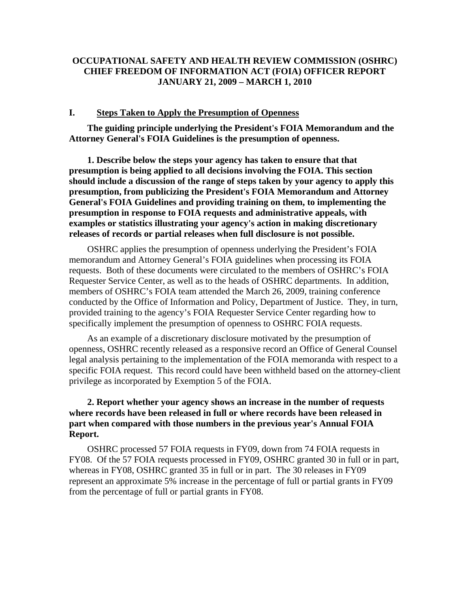## **OCCUPATIONAL SAFETY AND HEALTH REVIEW COMMISSION (OSHRC) CHIEF FREEDOM OF INFORMATION ACT (FOIA) OFFICER REPORT JANUARY 21, 2009 – MARCH 1, 2010**

#### **I. Steps Taken to Apply the Presumption of Openness**

**The guiding principle underlying the President's FOIA Memorandum and the Attorney General's FOIA Guidelines is the presumption of openness.** 

**1. Describe below the steps your agency has taken to ensure that that presumption is being applied to all decisions involving the FOIA. This section should include a discussion of the range of steps taken by your agency to apply this presumption, from publicizing the President's FOIA Memorandum and Attorney General's FOIA Guidelines and providing training on them, to implementing the presumption in response to FOIA requests and administrative appeals, with examples or statistics illustrating your agency's action in making discretionary releases of records or partial releases when full disclosure is not possible.** 

OSHRC applies the presumption of openness underlying the President's FOIA memorandum and Attorney General's FOIA guidelines when processing its FOIA requests. Both of these documents were circulated to the members of OSHRC's FOIA Requester Service Center, as well as to the heads of OSHRC departments. In addition, members of OSHRC's FOIA team attended the March 26, 2009, training conference conducted by the Office of Information and Policy, Department of Justice. They, in turn, provided training to the agency's FOIA Requester Service Center regarding how to specifically implement the presumption of openness to OSHRC FOIA requests.

As an example of a discretionary disclosure motivated by the presumption of openness, OSHRC recently released as a responsive record an Office of General Counsel legal analysis pertaining to the implementation of the FOIA memoranda with respect to a specific FOIA request. This record could have been withheld based on the attorney-client privilege as incorporated by Exemption 5 of the FOIA.

## **2. Report whether your agency shows an increase in the number of requests where records have been released in full or where records have been released in part when compared with those numbers in the previous year's Annual FOIA Report.**

OSHRC processed 57 FOIA requests in FY09, down from 74 FOIA requests in FY08. Of the 57 FOIA requests processed in FY09, OSHRC granted 30 in full or in part, whereas in FY08, OSHRC granted 35 in full or in part. The 30 releases in FY09 represent an approximate 5% increase in the percentage of full or partial grants in FY09 from the percentage of full or partial grants in FY08.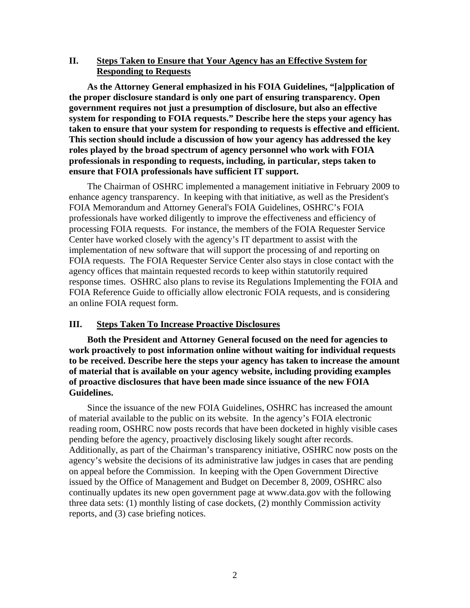### **II. Steps Taken to Ensure that Your Agency has an Effective System for Responding to Requests**

**As the Attorney General emphasized in his FOIA Guidelines, "[a]pplication of the proper disclosure standard is only one part of ensuring transparency. Open government requires not just a presumption of disclosure, but also an effective system for responding to FOIA requests." Describe here the steps your agency has taken to ensure that your system for responding to requests is effective and efficient. This section should include a discussion of how your agency has addressed the key roles played by the broad spectrum of agency personnel who work with FOIA professionals in responding to requests, including, in particular, steps taken to ensure that FOIA professionals have sufficient IT support.** 

The Chairman of OSHRC implemented a management initiative in February 2009 to enhance agency transparency. In keeping with that initiative, as well as the President's FOIA Memorandum and Attorney General's FOIA Guidelines, OSHRC's FOIA professionals have worked diligently to improve the effectiveness and efficiency of processing FOIA requests. For instance, the members of the FOIA Requester Service Center have worked closely with the agency's IT department to assist with the implementation of new software that will support the processing of and reporting on FOIA requests. The FOIA Requester Service Center also stays in close contact with the agency offices that maintain requested records to keep within statutorily required response times. OSHRC also plans to revise its Regulations Implementing the FOIA and FOIA Reference Guide to officially allow electronic FOIA requests, and is considering an online FOIA request form.

#### **III. Steps Taken To Increase Proactive Disclosures**

**Both the President and Attorney General focused on the need for agencies to work proactively to post information online without waiting for individual requests to be received. Describe here the steps your agency has taken to increase the amount of material that is available on your agency website, including providing examples of proactive disclosures that have been made since issuance of the new FOIA Guidelines.** 

Since the issuance of the new FOIA Guidelines, OSHRC has increased the amount of material available to the public on its website. In the agency's FOIA electronic reading room, OSHRC now posts records that have been docketed in highly visible cases pending before the agency, proactively disclosing likely sought after records. Additionally, as part of the Chairman's transparency initiative, OSHRC now posts on the agency's website the decisions of its administrative law judges in cases that are pending on appeal before the Commission. In keeping with the Open Government Directive issued by the Office of Management and Budget on December 8, 2009, OSHRC also continually updates its new open government page at www.data.gov with the following three data sets: (1) monthly listing of case dockets, (2) monthly Commission activity reports, and (3) case briefing notices.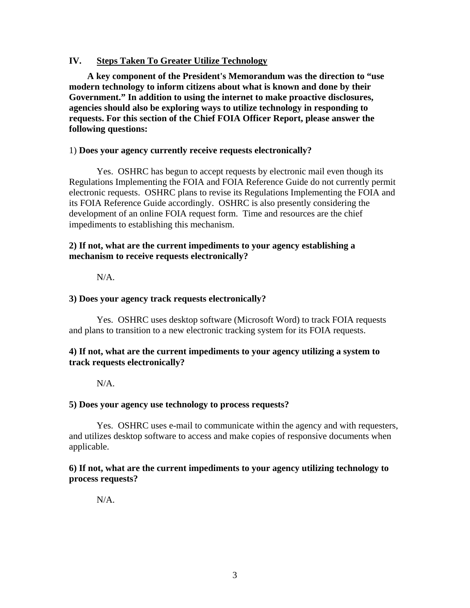## **IV. Steps Taken To Greater Utilize Technology**

**A key component of the President's Memorandum was the direction to "use modern technology to inform citizens about what is known and done by their Government." In addition to using the internet to make proactive disclosures, agencies should also be exploring ways to utilize technology in responding to requests. For this section of the Chief FOIA Officer Report, please answer the following questions:** 

### 1) **Does your agency currently receive requests electronically?**

Yes. OSHRC has begun to accept requests by electronic mail even though its Regulations Implementing the FOIA and FOIA Reference Guide do not currently permit electronic requests. OSHRC plans to revise its Regulations Implementing the FOIA and its FOIA Reference Guide accordingly. OSHRC is also presently considering the development of an online FOIA request form. Time and resources are the chief impediments to establishing this mechanism.

### **2) If not, what are the current impediments to your agency establishing a mechanism to receive requests electronically?**

N/A.

#### **3) Does your agency track requests electronically?**

Yes. OSHRC uses desktop software (Microsoft Word) to track FOIA requests and plans to transition to a new electronic tracking system for its FOIA requests.

## **4) If not, what are the current impediments to your agency utilizing a system to track requests electronically?**

N/A.

#### **5) Does your agency use technology to process requests?**

Yes. OSHRC uses e-mail to communicate within the agency and with requesters, and utilizes desktop software to access and make copies of responsive documents when applicable.

## **6) If not, what are the current impediments to your agency utilizing technology to process requests?**

N/A.